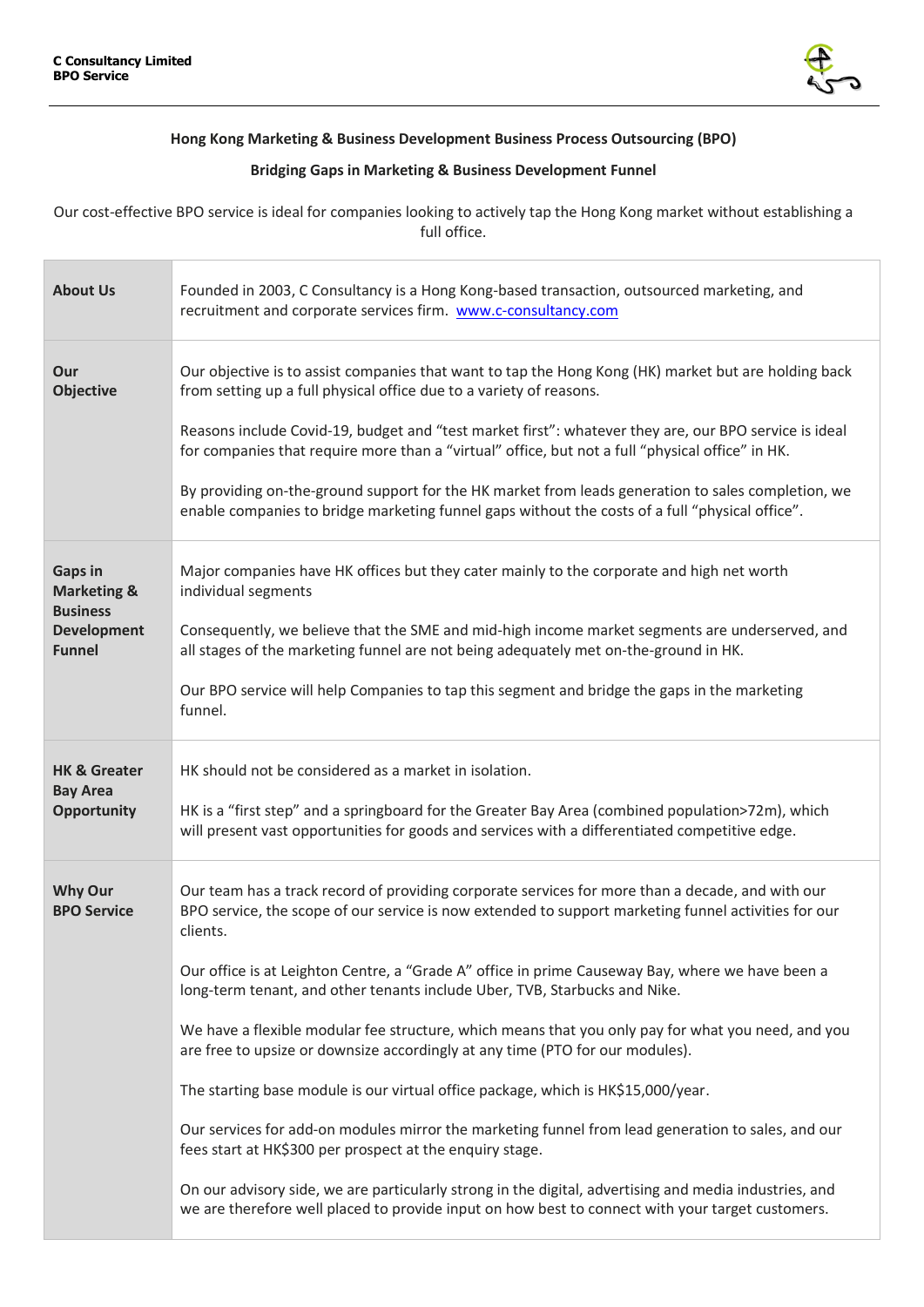

## **Hong Kong Marketing & Business Development Business Process Outsourcing (BPO)**

## **Bridging Gaps in Marketing & Business Development Funnel**

Our cost-effective BPO service is ideal for companies looking to actively tap the Hong Kong market without establishing a full office.

| <b>About Us</b>                                                                                    | Founded in 2003, C Consultancy is a Hong Kong-based transaction, outsourced marketing, and<br>recruitment and corporate services firm. www.c-consultancy.com                                                                                                                                                                                                                                                                                                                                                                                                                                                                                                                                                                                                                                                                                                                                                                                                                                                                                                       |
|----------------------------------------------------------------------------------------------------|--------------------------------------------------------------------------------------------------------------------------------------------------------------------------------------------------------------------------------------------------------------------------------------------------------------------------------------------------------------------------------------------------------------------------------------------------------------------------------------------------------------------------------------------------------------------------------------------------------------------------------------------------------------------------------------------------------------------------------------------------------------------------------------------------------------------------------------------------------------------------------------------------------------------------------------------------------------------------------------------------------------------------------------------------------------------|
| Our<br><b>Objective</b>                                                                            | Our objective is to assist companies that want to tap the Hong Kong (HK) market but are holding back<br>from setting up a full physical office due to a variety of reasons.<br>Reasons include Covid-19, budget and "test market first": whatever they are, our BPO service is ideal<br>for companies that require more than a "virtual" office, but not a full "physical office" in HK.<br>By providing on-the-ground support for the HK market from leads generation to sales completion, we<br>enable companies to bridge marketing funnel gaps without the costs of a full "physical office".                                                                                                                                                                                                                                                                                                                                                                                                                                                                  |
| <b>Gaps in</b><br><b>Marketing &amp;</b><br><b>Business</b><br><b>Development</b><br><b>Funnel</b> | Major companies have HK offices but they cater mainly to the corporate and high net worth<br>individual segments<br>Consequently, we believe that the SME and mid-high income market segments are underserved, and<br>all stages of the marketing funnel are not being adequately met on-the-ground in HK.<br>Our BPO service will help Companies to tap this segment and bridge the gaps in the marketing<br>funnel.                                                                                                                                                                                                                                                                                                                                                                                                                                                                                                                                                                                                                                              |
| <b>HK &amp; Greater</b><br><b>Bay Area</b><br><b>Opportunity</b>                                   | HK should not be considered as a market in isolation.<br>HK is a "first step" and a springboard for the Greater Bay Area (combined population>72m), which<br>will present vast opportunities for goods and services with a differentiated competitive edge.                                                                                                                                                                                                                                                                                                                                                                                                                                                                                                                                                                                                                                                                                                                                                                                                        |
| <b>Why Our</b><br><b>BPO Service</b>                                                               | Our team has a track record of providing corporate services for more than a decade, and with our<br>BPO service, the scope of our service is now extended to support marketing funnel activities for our<br>clients.<br>Our office is at Leighton Centre, a "Grade A" office in prime Causeway Bay, where we have been a<br>long-term tenant, and other tenants include Uber, TVB, Starbucks and Nike.<br>We have a flexible modular fee structure, which means that you only pay for what you need, and you<br>are free to upsize or downsize accordingly at any time (PTO for our modules).<br>The starting base module is our virtual office package, which is HK\$15,000/year.<br>Our services for add-on modules mirror the marketing funnel from lead generation to sales, and our<br>fees start at HK\$300 per prospect at the enquiry stage.<br>On our advisory side, we are particularly strong in the digital, advertising and media industries, and<br>we are therefore well placed to provide input on how best to connect with your target customers. |